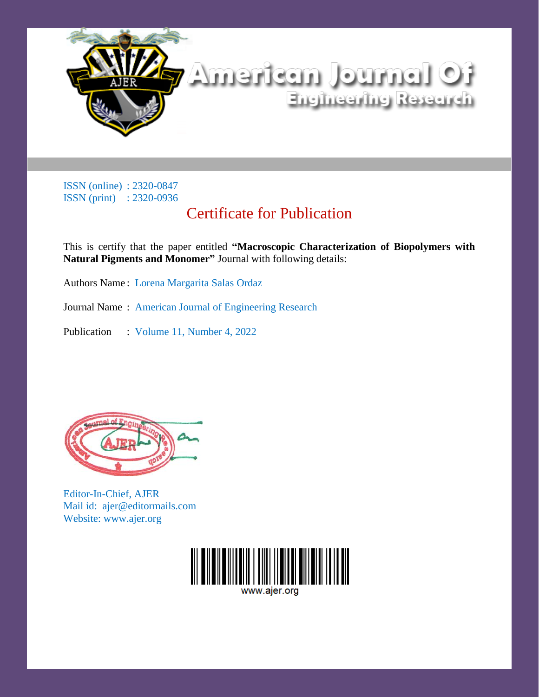

# Certificate for Publication

This is certify that the paper entitled **"Macroscopic Characterization of Biopolymers with Natural Pigments and Monomer"** Journal with following details:

Authors Name : Lorena Margarita Salas Ordaz

Journal Name : American Journal of Engineering Research

Publication : Volume 11, Number 4, 2022



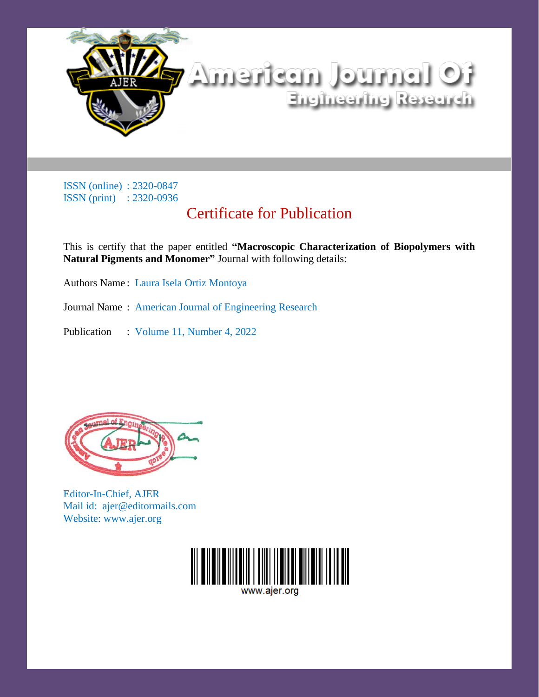

# Certificate for Publication

This is certify that the paper entitled **"Macroscopic Characterization of Biopolymers with Natural Pigments and Monomer"** Journal with following details:

Authors Name : Laura Isela Ortiz Montoya

Journal Name : American Journal of Engineering Research

Publication : Volume 11, Number 4, 2022



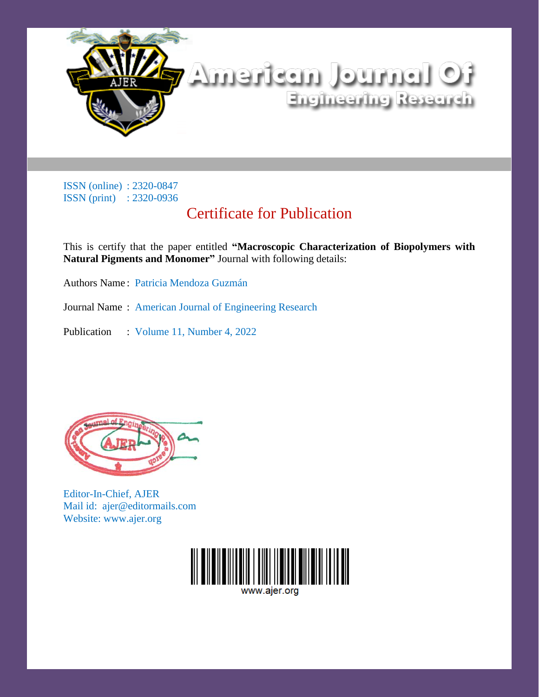

# Certificate for Publication

This is certify that the paper entitled **"Macroscopic Characterization of Biopolymers with Natural Pigments and Monomer"** Journal with following details:

Authors Name : Patricia Mendoza Guzmán

Journal Name : American Journal of Engineering Research

Publication : Volume 11, Number 4, 2022



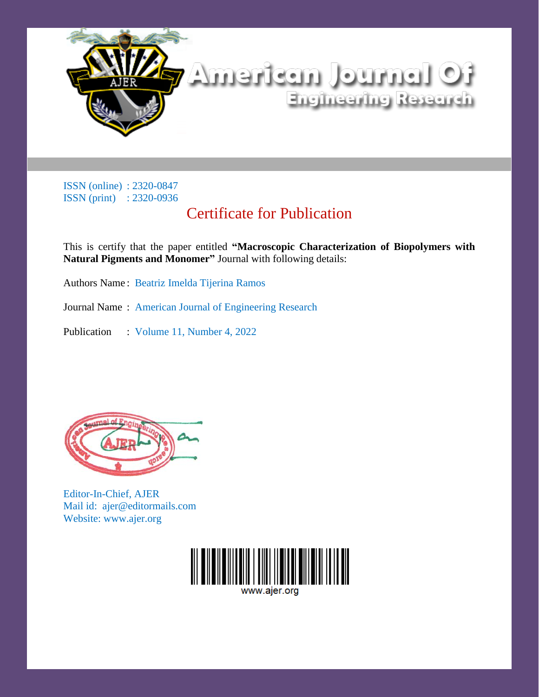

# Certificate for Publication

This is certify that the paper entitled **"Macroscopic Characterization of Biopolymers with Natural Pigments and Monomer"** Journal with following details:

Authors Name : Beatriz Imelda Tijerina Ramos

Journal Name : American Journal of Engineering Research

Publication : Volume 11, Number 4, 2022